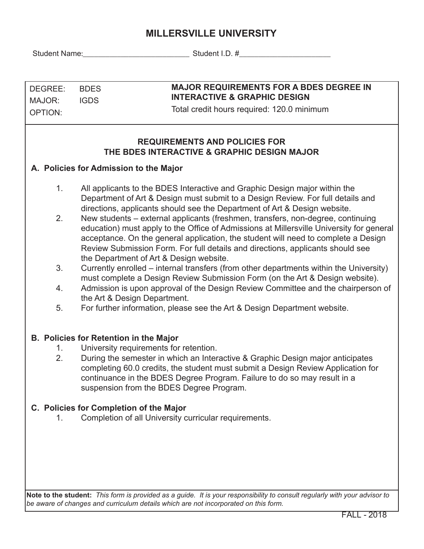# **MILLERSVILLE UNIVERSITY**

Student Name:\_\_\_\_\_\_\_\_\_\_\_\_\_\_\_\_\_\_\_\_\_\_\_\_\_\_\_\_ Student I.D. #\_\_\_\_\_\_\_\_\_\_\_\_\_\_\_\_\_\_\_\_\_\_\_\_

| DEGREE: | <b>BDES</b> |
|---------|-------------|
| MAJOR:  | <b>IGDS</b> |
| OPTION: |             |

### **MAJOR REQUIREMENTS FOR A BDES DEGREE IN INTERACTIVE & GRAPHIC DESIGN**

Total credit hours required: 120.0 minimum

## **REQUIREMENTS AND POLICIES FOR THE BDES INTERACTIVE & GRAPHIC DESIGN MAJOR**

## **A. Policies for Admission to the Major**

- 1. All applicants to the BDES Interactive and Graphic Design major within the Department of Art & Design must submit to a Design Review. For full details and directions, applicants should see the Department of Art & Design website.
- 2. New students external applicants (freshmen, transfers, non-degree, continuing education) must apply to the Office of Admissions at Millersville University for general acceptance. On the general application, the student will need to complete a Design Review Submission Form. For full details and directions, applicants should see the Department of Art & Design website.
- 3. Currently enrolled internal transfers (from other departments within the University) must complete a Design Review Submission Form (on the Art & Design website).
- 4. Admission is upon approval of the Design Review Committee and the chairperson of the Art & Design Department.
- 5. For further information, please see the Art & Design Department website.

### **B. Policies for Retention in the Major**

- 1. University requirements for retention.
- 2. During the semester in which an Interactive & Graphic Design major anticipates completing 60.0 credits, the student must submit a Design Review Application for continuance in the BDES Degree Program. Failure to do so may result in a suspension from the BDES Degree Program.

### **C. Policies for Completion of the Major**

1. Completion of all University curricular requirements.

**Note to the student:** *This form is provided as a guide. It is your responsibility to consult regularly with your advisor to be aware of changes and curriculum details which are not incorporated on this form.*